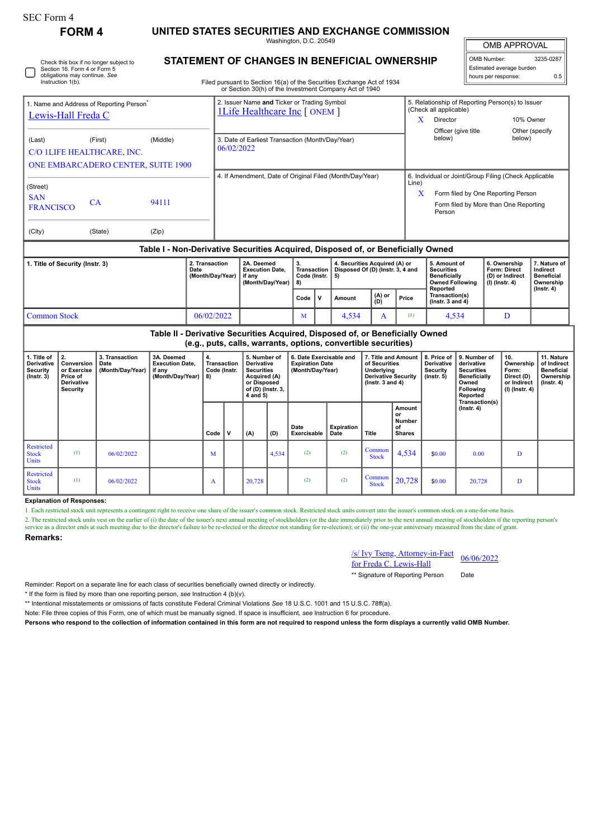|  | <b>FORM 4</b>                                                                                                                | UNITED STATES SECURITIES AND EXCHANGE COMMISSION                                                                                 |                                         |           |
|--|------------------------------------------------------------------------------------------------------------------------------|----------------------------------------------------------------------------------------------------------------------------------|-----------------------------------------|-----------|
|  |                                                                                                                              | Washington, D.C. 20549                                                                                                           | <b>OMB APPROVAL</b>                     |           |
|  | Check this box if no longer subject to<br>Section 16, Form 4 or Form 5<br>obligations may continue. See<br>Instruction 1(b). | <b>STATEMENT OF CHANGES IN BENEFICIAL OWNERSHIP</b>                                                                              | OMB Number:<br>Estimated average burden | 3235-0287 |
|  |                                                                                                                              | Filed pursuant to Section 16(a) of the Securities Exchange Act of 1934<br>or Section 30(h) of the Investment Company Act of 1940 | hours per response:                     | 0.5       |
|  |                                                                                                                              |                                                                                                                                  |                                         |           |

| 1. Name and Address of Reporting Person <sup>®</sup><br>Lewis-Hall Freda C     |           |                                                | 2. Issuer Name and Ticker or Trading Symbol<br><b>1Life Healthcare Inc [ ONEM ]</b> |                                                                | 5. Relationship of Reporting Person(s) to Issuer<br>(Check all applicable) |                           |  |
|--------------------------------------------------------------------------------|-----------|------------------------------------------------|-------------------------------------------------------------------------------------|----------------------------------------------------------------|----------------------------------------------------------------------------|---------------------------|--|
|                                                                                |           |                                                |                                                                                     | x                                                              | Director                                                                   | 10% Owner                 |  |
| (Last)<br>C/O 1LIFE HEALTHCARE, INC.                                           | (First)   | (Middle)<br>ONE EMBARCADERO CENTER, SUITE 1900 | 3. Date of Earliest Transaction (Month/Day/Year)<br>06/02/2022                      |                                                                | Officer (give title)<br>below)                                             | Other (specify)<br>below) |  |
|                                                                                |           |                                                | 4. If Amendment, Date of Original Filed (Month/Day/Year)                            | 6. Individual or Joint/Group Filing (Check Applicable<br>Line) |                                                                            |                           |  |
| (Street)<br><b>SAN</b>                                                         |           |                                                |                                                                                     | X                                                              | Form filed by One Reporting Person                                         |                           |  |
| <b>FRANCISCO</b>                                                               | <b>CA</b> | 94111                                          |                                                                                     |                                                                | Form filed by More than One Reporting<br>Person                            |                           |  |
| (City)                                                                         | (State)   | (Zip)                                          |                                                                                     |                                                                |                                                                            |                           |  |
| Toble L. Non Devisetive Conveition Anguised, Dionogod of as Peneficially Owned |           |                                                |                                                                                     |                                                                |                                                                            |                           |  |

## **Table I - Non-Derivative Securities Acquired, Disposed of, or Beneficially Owned**

| 1. Title of Security (Instr. 3) | 2. Transaction<br>Date<br>(Month/Day/Year) | 2A. Deemed<br><b>Execution Date.</b><br>if anv<br>(Month/Dav/Year) | Code (Instr. $  5$ )<br><b>18)</b> | 4. Securities Acquired (A) or<br>Transaction   Disposed Of (D) (Instr. 3, 4 and |               |       | 5. Amount of<br><b>Securities</b><br><b>Beneficially</b><br><b>Owned Following</b><br>Reported | 6. Ownership<br>Form: Direct<br>(D) or Indirect<br>  (I) (Instr. 4) | 7. Nature of<br>Indirect<br><b>Beneficial</b><br>Ownership<br>$($ lnstr. 4 $)$ |
|---------------------------------|--------------------------------------------|--------------------------------------------------------------------|------------------------------------|---------------------------------------------------------------------------------|---------------|-------|------------------------------------------------------------------------------------------------|---------------------------------------------------------------------|--------------------------------------------------------------------------------|
|                                 |                                            |                                                                    | Code $ V $                         | Amount                                                                          | (A) or<br>(D) | Price | Transaction(s)<br>$($ lnstr. 3 and 4 $)$                                                       |                                                                     |                                                                                |
| Common Stock                    | 06/02/2022                                 |                                                                    | M                                  | 4.534                                                                           |               | Œ     | 4.534                                                                                          |                                                                     |                                                                                |

## **Table II - Derivative Securities Acquired, Disposed of, or Beneficially Owned (e.g., puts, calls, warrants, options, convertible securities) 1. Title of Derivative Security (Instr. 3) 2. Conversion or Exercise Price of Derivative Security 3. Transaction Date (Month/Day/Year) 3A. Deemed Execution Date, if any (Month/Day/Year) 4. Transaction Code (Instr. 8) 5. Number of Derivative Securities Acquired (A) or Disposed of (D) (Instr. 3, 4 and 5) 6. Date Exercisable and Expiration Date (Month/Day/Year) 7. Title and Amount of Securities Underlying Derivative Security (Instr. 3 and 4) 8. Price of Derivative Security (Instr. 5) 9. Number of derivative Securities Beneficially Owned Following Reported Transaction(s) (Instr. 4) 10. Ownership Form: Direct (D) or Indirect (I) (Instr. 4) 11. Nature of Indirect Beneficial Ownership (Instr. 4)**  $Code \n\begin{bmatrix} \nV & \n\end{bmatrix} (A) \n\begin{bmatrix} \nD \n\end{bmatrix}$ **Date Exercisable Expiration Date Title Amount or Number of Shares** Restricted Stock **Units** (1)  $0.6/02/2022$  M 4,534 (2) (2) Common  $\begin{array}{|c|c|c|c|c|c|c|c|} \hline \text{ommon} & 4,534 & \text{$\$0.00} & 0.00 & \text{D} \end{array}$ **Restricted** Stock Units (1)  $0.6/02/2022$  A  $20,728$  (2)  $\circ$  Common Common  $\begin{array}{|c|c|c|c|c|c|c|c|} \hline \text{Common} & 20,728 & \text{ } & 20,728 & \text{ } & \text{ } & \text{ } \text{.} \ \hline \text{Stock} & 20,728 & \text{ } & 20,728 & \text{ } & \text{ } \text{.} \end{array}$

## **Explanation of Responses:**

1. Each restricted stock unit represents a contingent right to receive one share of the issuer's common stock. Restricted stock units convert into the issuer's common stock on a one-for-one basis.

2. The restricted stock units vest on the earlier of (i) the date of the issuer's next annual meeting of stockholders (or the date immediately prior to the next annual meeting of stockholders if the reporting person's service as a director ends at such meeting due to the director's failure to be re-elected or the director not standing for re-election); or (ii) the one-year anniversary measured from the date of grant

## **Remarks:**

SEC Form 4

| /s/ Ivy Tseng, Attorney-in-Fact | 06/06/2022 |
|---------------------------------|------------|
| for Freda C. Lewis-Hall         |            |

\*\* Signature of Reporting Person Date

\* If the form is filed by more than one reporting person, *see* Instruction 4 (b)(v).

\*\* Intentional misstatements or omissions of facts constitute Federal Criminal Violations *See* 18 U.S.C. 1001 and 15 U.S.C. 78ff(a).

Reminder: Report on a separate line for each class of securities beneficially owned directly or indirectly.

Note: File three copies of this Form, one of which must be manually signed. If space is insufficient, *see* Instruction 6 for procedure.

**Persons who respond to the collection of information contained in this form are not required to respond unless the form displays a currently valid OMB Number.**